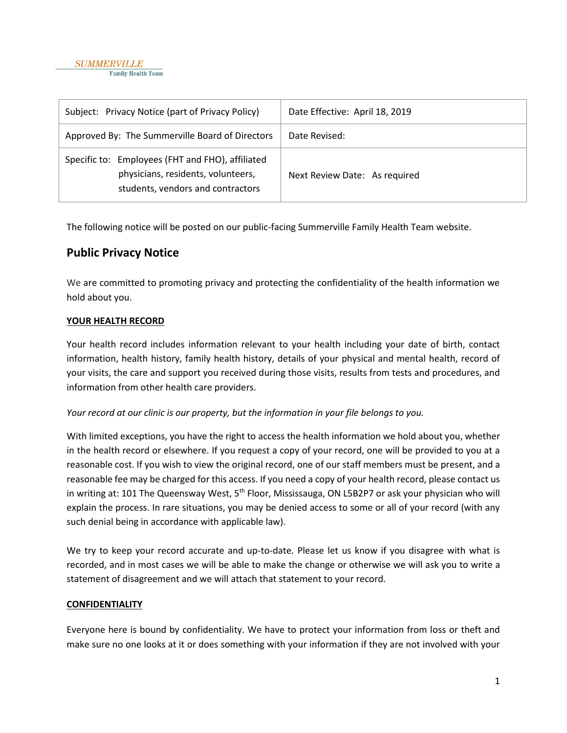| Subject: Privacy Notice (part of Privacy Policy)                                                                            | Date Effective: April 18, 2019 |
|-----------------------------------------------------------------------------------------------------------------------------|--------------------------------|
| Approved By: The Summerville Board of Directors                                                                             | Date Revised:                  |
| Specific to: Employees (FHT and FHO), affiliated<br>physicians, residents, volunteers,<br>students, vendors and contractors | Next Review Date: As required  |

The following notice will be posted on our public-facing Summerville Family Health Team website.

# **Public Privacy Notice**

We are committed to promoting privacy and protecting the confidentiality of the health information we hold about you.

### **YOUR HEALTH RECORD**

Your health record includes information relevant to your health including your date of birth, contact information, health history, family health history, details of your physical and mental health, record of your visits, the care and support you received during those visits, results from tests and procedures, and information from other health care providers.

#### *Your record at our clinic is our property, but the information in your file belongs to you.*

With limited exceptions, you have the right to access the health information we hold about you, whether in the health record or elsewhere. If you request a copy of your record, one will be provided to you at a reasonable cost. If you wish to view the original record, one of our staff members must be present, and a reasonable fee may be charged for this access. If you need a copy of your health record, please contact us in writing at: 101 The Queensway West, 5<sup>th</sup> Floor, Mississauga, ON L5B2P7 or ask your physician who will explain the process. In rare situations, you may be denied access to some or all of your record (with any such denial being in accordance with applicable law).

We try to keep your record accurate and up-to-date. Please let us know if you disagree with what is recorded, and in most cases we will be able to make the change or otherwise we will ask you to write a statement of disagreement and we will attach that statement to your record.

#### **CONFIDENTIALITY**

Everyone here is bound by confidentiality. We have to protect your information from loss or theft and make sure no one looks at it or does something with your information if they are not involved with your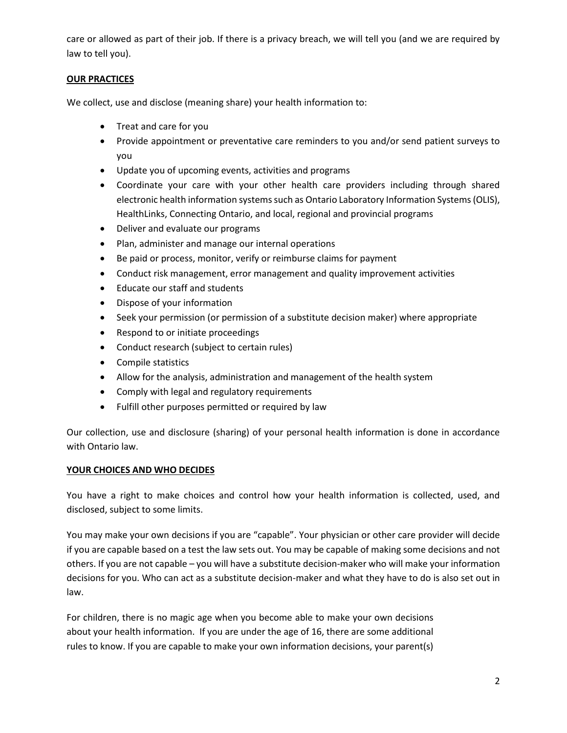care or allowed as part of their job. If there is a privacy breach, we will tell you (and we are required by law to tell you).

## **OUR PRACTICES**

We collect, use and disclose (meaning share) your health information to:

- Treat and care for you
- Provide appointment or preventative care reminders to you and/or send patient surveys to you
- Update you of upcoming events, activities and programs
- Coordinate your care with your other health care providers including through shared electronic health information systems such as Ontario Laboratory Information Systems (OLIS), HealthLinks, Connecting Ontario, and local, regional and provincial programs
- Deliver and evaluate our programs
- Plan, administer and manage our internal operations
- Be paid or process, monitor, verify or reimburse claims for payment
- Conduct risk management, error management and quality improvement activities
- Educate our staff and students
- Dispose of your information
- Seek your permission (or permission of a substitute decision maker) where appropriate
- Respond to or initiate proceedings
- Conduct research (subject to certain rules)
- Compile statistics
- Allow for the analysis, administration and management of the health system
- Comply with legal and regulatory requirements
- Fulfill other purposes permitted or required by law

Our collection, use and disclosure (sharing) of your personal health information is done in accordance with Ontario law.

### **YOUR CHOICES AND WHO DECIDES**

You have a right to make choices and control how your health information is collected, used, and disclosed, subject to some limits.

You may make your own decisions if you are "capable". Your physician or other care provider will decide if you are capable based on a test the law sets out. You may be capable of making some decisions and not others. If you are not capable – you will have a substitute decision-maker who will make your information decisions for you. Who can act as a substitute decision-maker and what they have to do is also set out in law.

For children, there is no magic age when you become able to make your own decisions about your health information. If you are under the age of 16, there are some additional rules to know. If you are capable to make your own information decisions, your parent(s)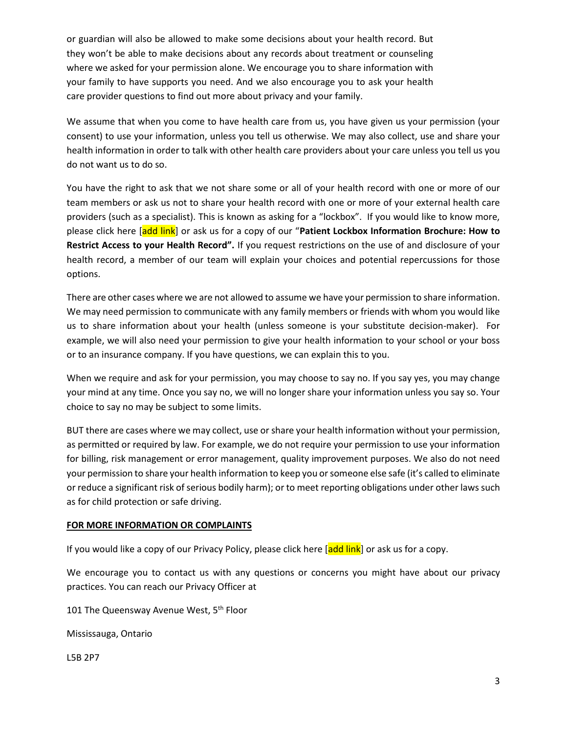or guardian will also be allowed to make some decisions about your health record. But they won't be able to make decisions about any records about treatment or counseling where we asked for your permission alone. We encourage you to share information with your family to have supports you need. And we also encourage you to ask your health care provider questions to find out more about privacy and your family.

We assume that when you come to have health care from us, you have given us your permission (your consent) to use your information, unless you tell us otherwise. We may also collect, use and share your health information in order to talk with other health care providers about your care unless you tell us you do not want us to do so.

You have the right to ask that we not share some or all of your health record with one or more of our team members or ask us not to share your health record with one or more of your external health care providers (such as a specialist). This is known as asking for a "lockbox". If you would like to know more, please click here [add link] or ask us for a copy of our "**Patient Lockbox Information Brochure: How to Restrict Access to your Health Record".** If you request restrictions on the use of and disclosure of your health record, a member of our team will explain your choices and potential repercussions for those options.

There are other cases where we are not allowed to assume we have your permission to share information. We may need permission to communicate with any family members or friends with whom you would like us to share information about your health (unless someone is your substitute decision-maker). For example, we will also need your permission to give your health information to your school or your boss or to an insurance company. If you have questions, we can explain this to you.

When we require and ask for your permission, you may choose to say no. If you say yes, you may change your mind at any time. Once you say no, we will no longer share your information unless you say so. Your choice to say no may be subject to some limits.

BUT there are cases where we may collect, use or share your health information without your permission, as permitted or required by law. For example, we do not require your permission to use your information for billing, risk management or error management, quality improvement purposes. We also do not need your permission to share your health information to keep you or someone else safe (it's called to eliminate or reduce a significant risk of serious bodily harm); or to meet reporting obligations under other laws such as for child protection or safe driving.

#### **FOR MORE INFORMATION OR COMPLAINTS**

If you would like a copy of our Privacy Policy, please click here [add link] or ask us for a copy.

We encourage you to contact us with any questions or concerns you might have about our privacy practices. You can reach our Privacy Officer at

101 The Queensway Avenue West, 5<sup>th</sup> Floor

Mississauga, Ontario

L5B 2P7